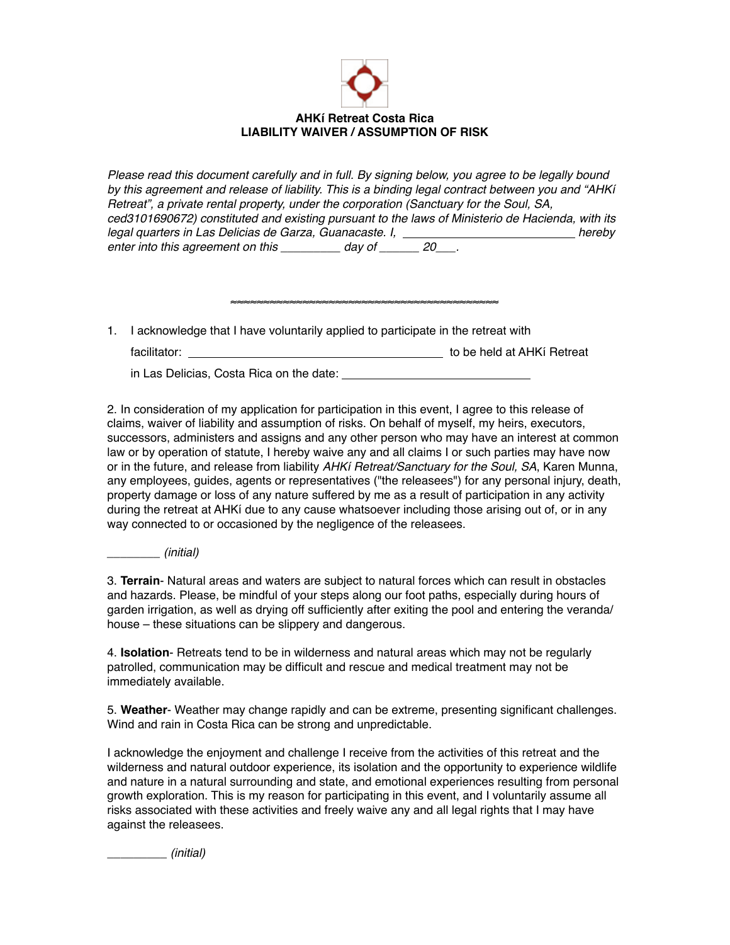

*Please read this document carefully and in full. By signing below, you agree to be legally bound by this agreement and release of liability. This is a binding legal contract between you and "AHKí Retreat", a private rental property, under the corporation (Sanctuary for the Soul, SA, ced3101690672) constituted and existing pursuant to the laws of Ministerio de Hacienda, with its legal quarters in Las Delicias de Garza, Guanacaste. I, hereby bereby hereby bereby bereby and all the states of the bereby and all the states of the bereby and all the states of the bereby and all the states of the state* enter into this agreement on this \_\_\_\_\_\_\_\_\_ day of \_\_\_\_\_\_ 20\_\_\_.

1. I acknowledge that I have voluntarily applied to participate in the retreat with

facilitator: to be held at AHKí Retreat

≈≈≈≈≈≈≈≈≈≈≈≈≈≈≈≈≈≈≈≈≈≈≈≈≈≈≈≈≈≈≈≈≈≈≈≈≈≈≈≈≈

in Las Delicias, Costa Rica on the date:

2. In consideration of my application for participation in this event, I agree to this release of claims, waiver of liability and assumption of risks. On behalf of myself, my heirs, executors, successors, administers and assigns and any other person who may have an interest at common law or by operation of statute, I hereby waive any and all claims I or such parties may have now or in the future, and release from liability *AHKí Retreat/Sanctuary for the Soul, SA*, Karen Munna, any employees, guides, agents or representatives ("the releasees") for any personal injury, death, property damage or loss of any nature suffered by me as a result of participation in any activity during the retreat at AHKí due to any cause whatsoever including those arising out of, or in any way connected to or occasioned by the negligence of the releasees.

*\_\_\_\_\_\_\_\_ (initial)*

3. **Terrain**- Natural areas and waters are subject to natural forces which can result in obstacles and hazards. Please, be mindful of your steps along our foot paths, especially during hours of garden irrigation, as well as drying off sufficiently after exiting the pool and entering the veranda/ house – these situations can be slippery and dangerous.

4. **Isolation**- Retreats tend to be in wilderness and natural areas which may not be regularly patrolled, communication may be difficult and rescue and medical treatment may not be immediately available.

5. **Weather**- Weather may change rapidly and can be extreme, presenting significant challenges. Wind and rain in Costa Rica can be strong and unpredictable.

I acknowledge the enjoyment and challenge I receive from the activities of this retreat and the wilderness and natural outdoor experience, its isolation and the opportunity to experience wildlife and nature in a natural surrounding and state, and emotional experiences resulting from personal growth exploration. This is my reason for participating in this event, and I voluntarily assume all risks associated with these activities and freely waive any and all legal rights that I may have against the releasees.

\_\_\_\_\_\_\_\_\_ *(initial)*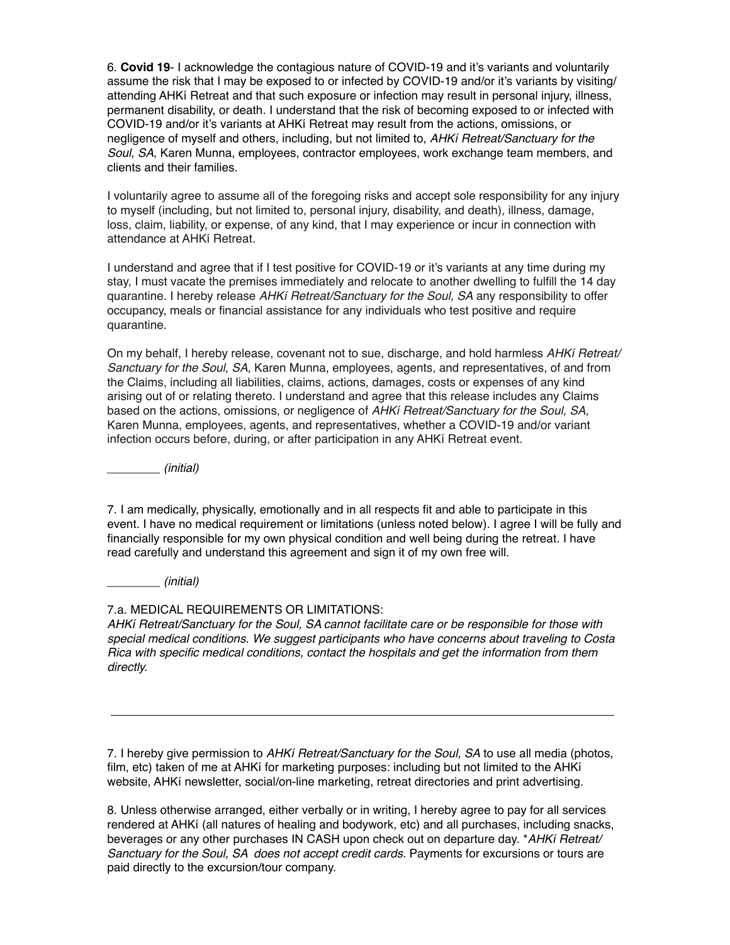6. **Covid 19**- I acknowledge the contagious nature of COVID-19 and it's variants and voluntarily assume the risk that I may be exposed to or infected by COVID-19 and/or it's variants by visiting/ attending AHKí Retreat and that such exposure or infection may result in personal injury, illness, permanent disability, or death. I understand that the risk of becoming exposed to or infected with COVID-19 and/or it's variants at AHKí Retreat may result from the actions, omissions, or negligence of myself and others, including, but not limited to, *AHKí Retreat/Sanctuary for the Soul, SA*, Karen Munna, employees, contractor employees, work exchange team members, and clients and their families.

I voluntarily agree to assume all of the foregoing risks and accept sole responsibility for any injury to myself (including, but not limited to, personal injury, disability, and death), illness, damage, loss, claim, liability, or expense, of any kind, that I may experience or incur in connection with attendance at AHKí Retreat.

I understand and agree that if I test positive for COVID-19 or it's variants at any time during my stay, I must vacate the premises immediately and relocate to another dwelling to fulfill the 14 day quarantine. I hereby release *AHKí Retreat/Sanctuary for the Soul, SA* any responsibility to offer occupancy, meals or financial assistance for any individuals who test positive and require quarantine.

On my behalf, I hereby release, covenant not to sue, discharge, and hold harmless *AHKí Retreat/ Sanctuary for the Soul, SA,* Karen Munna, employees, agents, and representatives, of and from the Claims, including all liabilities, claims, actions, damages, costs or expenses of any kind arising out of or relating thereto. I understand and agree that this release includes any Claims based on the actions, omissions, or negligence of *AHKí Retreat/Sanctuary for the Soul, SA,*  Karen Munna, employees, agents, and representatives, whether a COVID-19 and/or variant infection occurs before, during, or after participation in any AHKí Retreat event.

*\_\_\_\_\_\_\_\_ (initial)*

7. I am medically, physically, emotionally and in all respects fit and able to participate in this event. I have no medical requirement or limitations (unless noted below). I agree I will be fully and financially responsible for my own physical condition and well being during the retreat. I have read carefully and understand this agreement and sign it of my own free will.

*\_\_\_\_\_\_\_\_ (initial)*

## 7.a. MEDICAL REQUIREMENTS OR LIMITATIONS:

*AHKí Retreat/Sanctuary for the Soul, SA cannot facilitate care or be responsible for those with special medical conditions. We suggest participants who have concerns about traveling to Costa Rica with specific medical conditions, contact the hospitals and get the information from them directly.*

7. I hereby give permission to *AHKí Retreat/Sanctuary for the Soul, SA* to use all media (photos, film, etc) taken of me at AHKí for marketing purposes: including but not limited to the AHKí website, AHKí newsletter, social/on-line marketing, retreat directories and print advertising.

<u> 1989 - Johann Stoff, deutscher Stoffen und der Stoffen und der Stoffen und der Stoffen und der Stoffen und der</u>

8. Unless otherwise arranged, either verbally or in writing, I hereby agree to pay for all services rendered at AHKí (all natures of healing and bodywork, etc) and all purchases, including snacks, beverages or any other purchases IN CASH upon check out on departure day. \**AHKí Retreat/ Sanctuary for the Soul, SA does not accept credit cards.* Payments for excursions or tours are paid directly to the excursion/tour company.